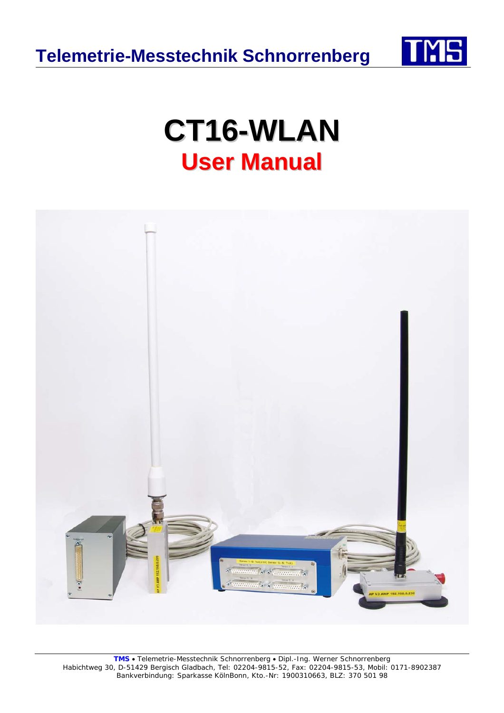

# **CT16-WLAN User Manual**

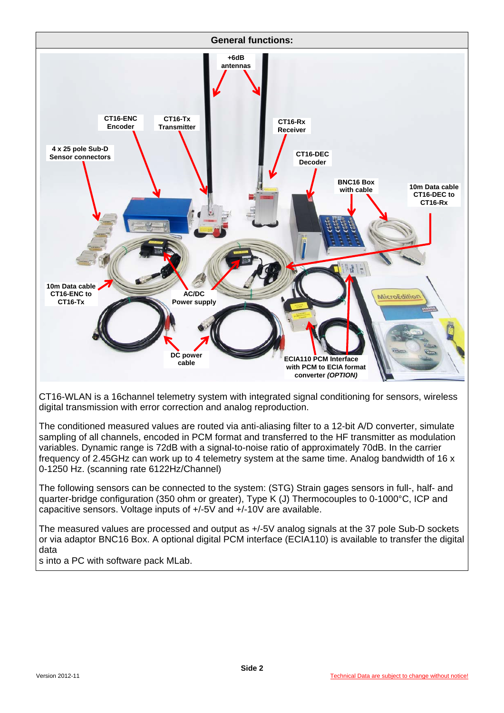

CT16-WLAN is a 16channel telemetry system with integrated signal conditioning for sensors, wireless digital transmission with error correction and analog reproduction.

The conditioned measured values are routed via anti-aliasing filter to a 12-bit A/D converter, simulate sampling of all channels, encoded in PCM format and transferred to the HF transmitter as modulation variables. Dynamic range is 72dB with a signal-to-noise ratio of approximately 70dB. In the carrier frequency of 2.45GHz can work up to 4 telemetry system at the same time. Analog bandwidth of 16 x 0-1250 Hz. (scanning rate 6122Hz/Channel)

The following sensors can be connected to the system: (STG) Strain gages sensors in full-, half- and quarter-bridge configuration (350 ohm or greater), Type K (J) Thermocouples to 0-1000°C, ICP and capacitive sensors. Voltage inputs of +/-5V and +/-10V are available.

The measured values are processed and output as +/-5V analog signals at the 37 pole Sub-D sockets or via adaptor BNC16 Box. A optional digital PCM interface (ECIA110) is available to transfer the digital data

s into a PC with software pack MLab.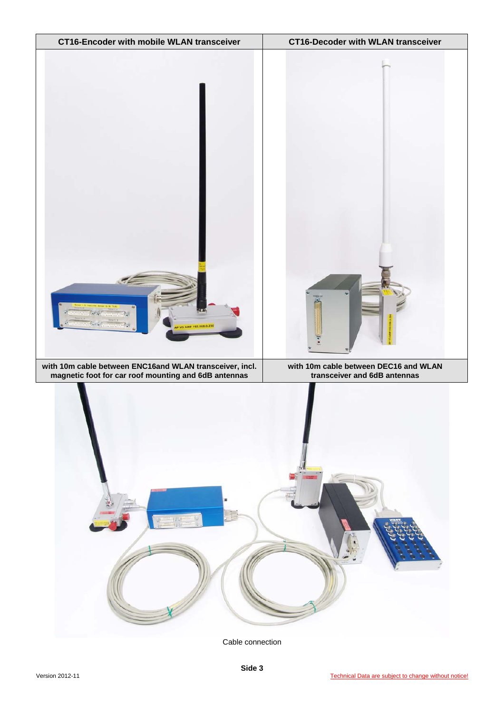

Cable connection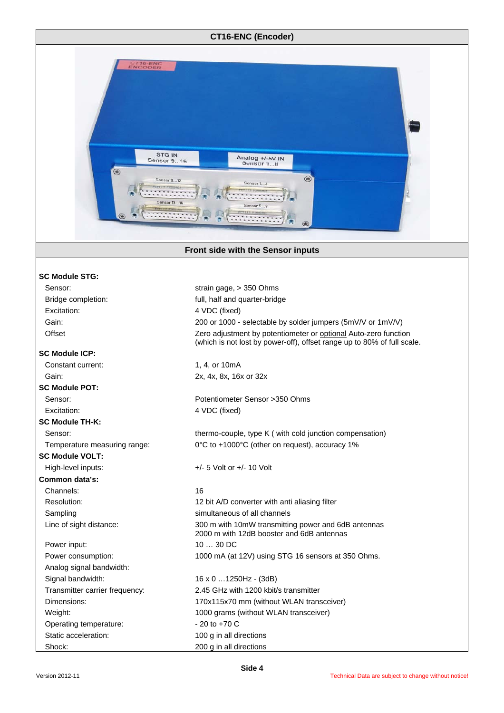

#### **Front side with the Sensor inputs**

#### **SC Module STG:**

| Sensor:                        | strain gage, > 350 Ohms                                                                                                                    |
|--------------------------------|--------------------------------------------------------------------------------------------------------------------------------------------|
| Bridge completion:             | full, half and quarter-bridge                                                                                                              |
| Excitation:                    | 4 VDC (fixed)                                                                                                                              |
| Gain:                          | 200 or 1000 - selectable by solder jumpers (5mV/V or 1mV/V)                                                                                |
| Offset                         | Zero adjustment by potentiometer or optional Auto-zero function<br>(which is not lost by power-off), offset range up to 80% of full scale. |
| <b>SC Module ICP:</b>          |                                                                                                                                            |
| Constant current:              | 1, 4, or 10mA                                                                                                                              |
| Gain:                          | 2x, 4x, 8x, 16x or 32x                                                                                                                     |
| <b>SC Module POT:</b>          |                                                                                                                                            |
| Sensor:                        | Potentiometer Sensor > 350 Ohms                                                                                                            |
| Excitation:                    | 4 VDC (fixed)                                                                                                                              |
| <b>SC Module TH-K:</b>         |                                                                                                                                            |
| Sensor:                        | thermo-couple, type K ( with cold junction compensation)                                                                                   |
| Temperature measuring range:   | 0°C to +1000°C (other on request), accuracy 1%                                                                                             |
| <b>SC Module VOLT:</b>         |                                                                                                                                            |
| High-level inputs:             | $+/- 5$ Volt or $+/- 10$ Volt                                                                                                              |
| Common data's:                 |                                                                                                                                            |
| Channels:                      | 16                                                                                                                                         |
| Resolution:                    | 12 bit A/D converter with anti aliasing filter                                                                                             |
| Sampling                       | simultaneous of all channels                                                                                                               |
| Line of sight distance:        | 300 m with 10mW transmitting power and 6dB antennas<br>2000 m with 12dB booster and 6dB antennas                                           |
| Power input:                   | $1030$ DC                                                                                                                                  |
| Power consumption:             | 1000 mA (at 12V) using STG 16 sensors at 350 Ohms.                                                                                         |
| Analog signal bandwidth:       |                                                                                                                                            |
| Signal bandwidth:              | $16 \times 0$ 1250Hz - (3dB)                                                                                                               |
| Transmitter carrier frequency: | 2.45 GHz with 1200 kbit/s transmitter                                                                                                      |
| Dimensions:                    | 170x115x70 mm (without WLAN transceiver)                                                                                                   |
| Weight:                        | 1000 grams (without WLAN transceiver)                                                                                                      |
| Operating temperature:         | $-20$ to $+70$ C                                                                                                                           |
| Static acceleration:           | 100 g in all directions                                                                                                                    |
| Shock:                         | 200 g in all directions                                                                                                                    |

| 2x. 4x. 8x. 16x or 32x                                                                                        |
|---------------------------------------------------------------------------------------------------------------|
| Potentiometer Sensor > 350 Ohms<br>4 VDC (fixed)                                                              |
| thermo-couple, type K ( with cold junction compensation)<br>0°C to +1000°C (other on request), accuracy 1%    |
| $+/-$ 5 Volt or $+/-$ 10 Volt                                                                                 |
| 16<br>12 bit A/D converter with anti aliasing filter<br>simultaneous of all channels                          |
| 300 m with 10mW transmitting power and 6dB antennas<br>2000 m with 12dB booster and 6dB antennas<br>$1030$ DC |
| 1000 mA (at 12V) using STG 16 sensors at 350 Ohms.                                                            |
| $16 \times 0$ 1250Hz - (3dB)<br>2.45 GHz with 1200 kbit/s transmitter                                         |
| 170x115x70 mm (without WLAN transceiver)                                                                      |
| 1000 grams (without WLAN transceiver)<br>$-20$ to $+70$ C                                                     |
| 100 g in all directions                                                                                       |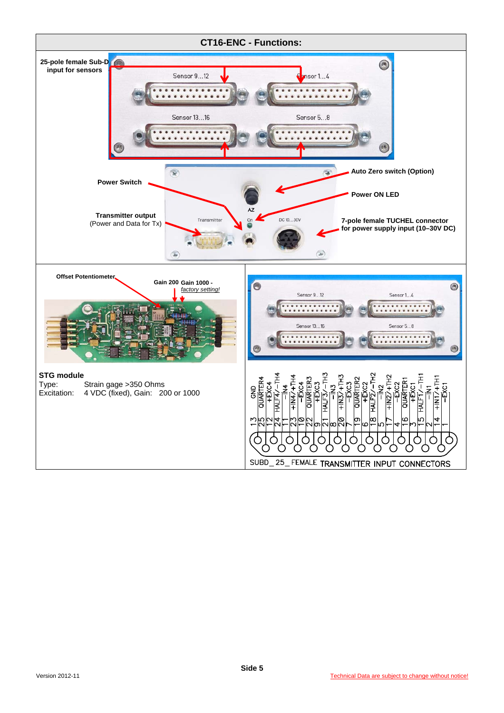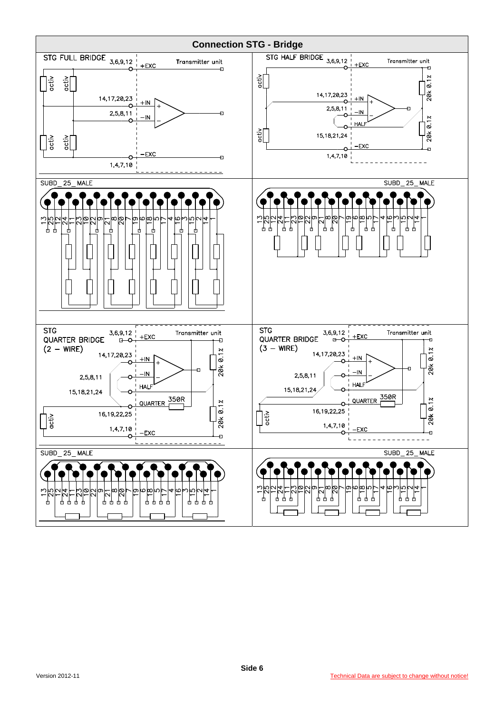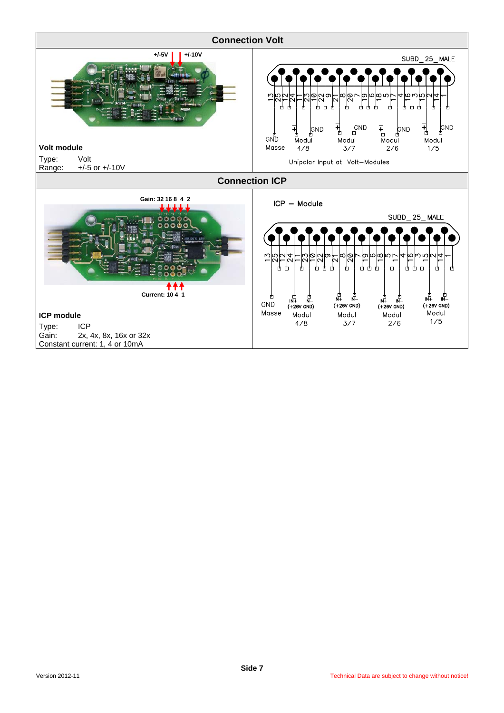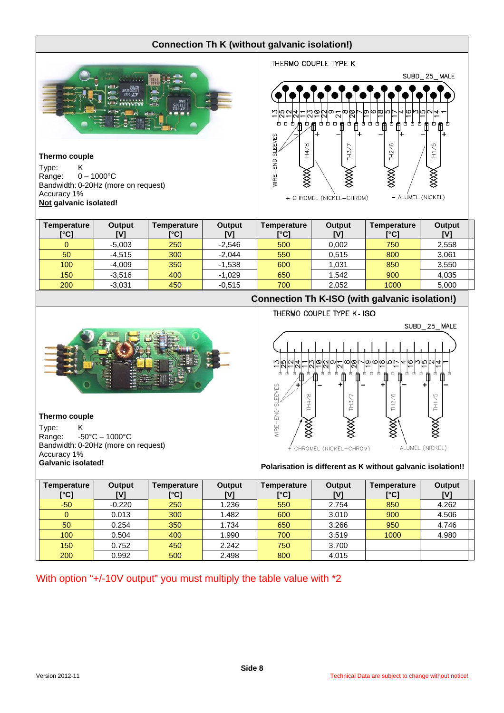## **Connection Th K (without galvanic isolation!)**

THERMO COUPLE TYPE K



#### **Thermo couple**

Type: K<br>Range: 0  $0 - 1000^{\circ}C$ Bandwidth: 0-20Hz (more on request) Accuracy 1% **Not galvanic isolated!** 

| SUBD 25 MALE                                                                                               |
|------------------------------------------------------------------------------------------------------------|
|                                                                                                            |
| @ @ @ U  \ 4 @ W W U 4 -<br>$\frac{1}{\infty}$<br><b>NOO4</b><br><u>- ס ט ס ר</u><br>N<br>N                |
| Φ<br>₫<br>₫<br>Ψ<br>甴<br>甴<br>甴<br>₫<br>₾<br>₾<br>甴<br>甴<br>Щ<br>₾<br>曲<br>曲<br>M<br>曲<br>曲<br>串<br>π<br>+ |
| <b>SLEEVES</b><br>TH4/8<br>ဖ<br>TH1/5<br><b>TH3/7</b><br>TH <sub>2</sub> /                                 |
|                                                                                                            |
| WIRE-END<br>▓                                                                                              |
| - ALUMEL (NICKEL)<br>+ CHROMEL (NICKEL-CHROM)                                                              |

| Temperature<br>[°C] | <b>Output</b><br>[V] | Temperature<br>[°C] | Output<br>[V] | Temperature<br>[°C] | <b>Output</b><br>IV1 | Temperature<br>[°C] | Output<br>[V] |
|---------------------|----------------------|---------------------|---------------|---------------------|----------------------|---------------------|---------------|
|                     | $-5,003$             | 250                 | $-2,546$      | 500                 | 0.002                | 750                 | 2,558         |
| 50                  | $-4.515$             | 300                 | $-2.044$      | 550                 | 0.515                | 800                 | 3,061         |
| 100                 | $-4,009$             | 350                 | $-1,538$      | 600                 | 1,031                | 850                 | 3,550         |
| 150                 | $-3.516$             | 400                 | $-1.029$      | 650                 | 1.542                | 900                 | 4,035         |
| 200                 | $-3,031$             | 450                 | $-0.515$      | 700                 | 2,052                | 1000                | 5,000         |



#### **Thermo couple**

Type: K Range: -50°C – 1000°C Bandwidth: 0-20Hz (more on request) Accuracy 1%

THERMO COUPLE TYPE K- ISO SUBD\_25\_MALE ഥ∣യ თ S ချွေစ d  $\frac{1}{10}$  $\overline{1}$ H łÌ **SLEEVES** MRE-END - ALUMEL (NICKEL) CHROMEL (NICKEL-CHROM)

**Connection Th K-ISO (with galvanic isolation!)** 

# Galvanic isolated! **Galvanic isolated!** Polarisation is different as K without galvanic isolation!!

| Temperature<br>[°C] | Output<br>[V] | Temperature<br>[°C] | <b>Output</b><br>ΓV. | Temperature<br>[°C] | <b>Output</b> | Temperature<br>[°C] | Output<br>[V] |
|---------------------|---------------|---------------------|----------------------|---------------------|---------------|---------------------|---------------|
| $-50$               | $-0.220$      | 250                 | 1.236                | 550                 | 2.754         | 850                 | 4.262         |
|                     | 0.013         | 300                 | 1.482                | 600                 | 3.010         | 900                 | 4.506         |
| 50                  | 0.254         | 350                 | 1.734                | 650                 | 3.266         | 950                 | 4.746         |
| 100                 | 0.504         | 400                 | 1.990                | 700                 | 3.519         | 1000                | 4.980         |
| 150                 | 0.752         | 450                 | 2.242                | 750                 | 3.700         |                     |               |
| 200                 | 0.992         | 500                 | 2.498                | 800                 | 4.015         |                     |               |

With option "+/-10V output" you must multiply the table value with  $*2$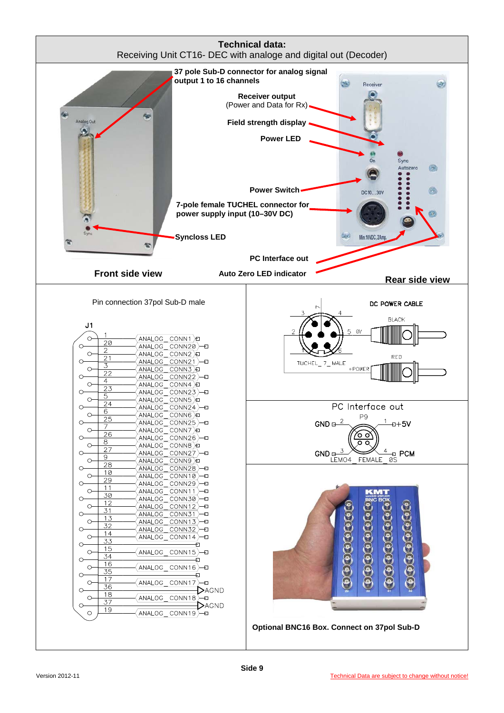